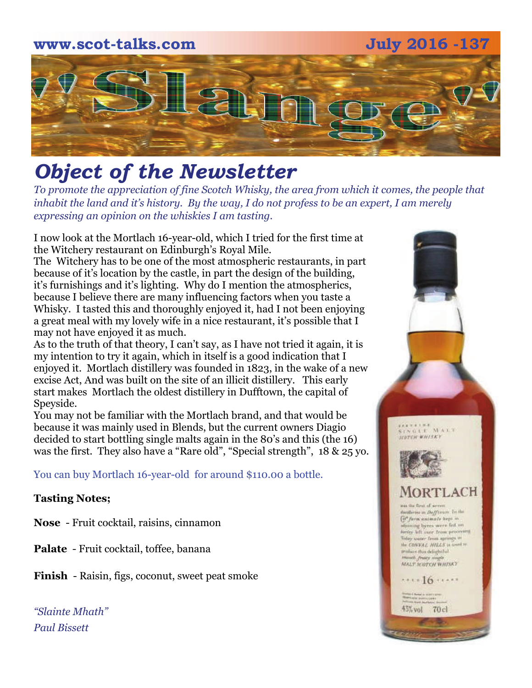# **www.scot-talks.com July 2016 -137** 121

# *Object of the Newsletter*

*To promote the appreciation of fine Scotch Whisky, the area from which it comes, the people that inhabit the land and it's history. By the way, I do not profess to be an expert, I am merely expressing an opinion on the whiskies I am tasting.* 

I now look at the Mortlach 16-year-old, which I tried for the first time at the Witchery restaurant on Edinburgh's Royal Mile.

The Witchery has to be one of the most atmospheric restaurants, in part because of it's location by the castle, in part the design of the building, it's furnishings and it's lighting. Why do I mention the atmospherics, because I believe there are many influencing factors when you taste a Whisky. I tasted this and thoroughly enjoyed it, had I not been enjoying a great meal with my lovely wife in a nice restaurant, it's possible that I may not have enjoyed it as much.

As to the truth of that theory, I can't say, as I have not tried it again, it is my intention to try it again, which in itself is a good indication that I enjoyed it. Mortlach distillery was founded in 1823, in the wake of a new excise Act, And was built on the site of an illicit distillery. This early start makes Mortlach the oldest distillery in Dufftown, the capital of Speyside.

You may not be familiar with the Mortlach brand, and that would be because it was mainly used in Blends, but the current owners Diagio decided to start bottling single malts again in the 80's and this (the 16) was the first. They also have a "Rare old", "Special strength", 18 & 25 yo.

You can buy Mortlach 16-year-old for around \$110.00 a bottle.

#### **Tasting Notes;**

**Nose** - Fruit cocktail, raisins, cinnamon

**Palate** - Fruit cocktail, toffee, banana

**Finish** - Raisin, figs, coconut, sweet peat smoke

*"Slainte Mhath" Paul Bissett*

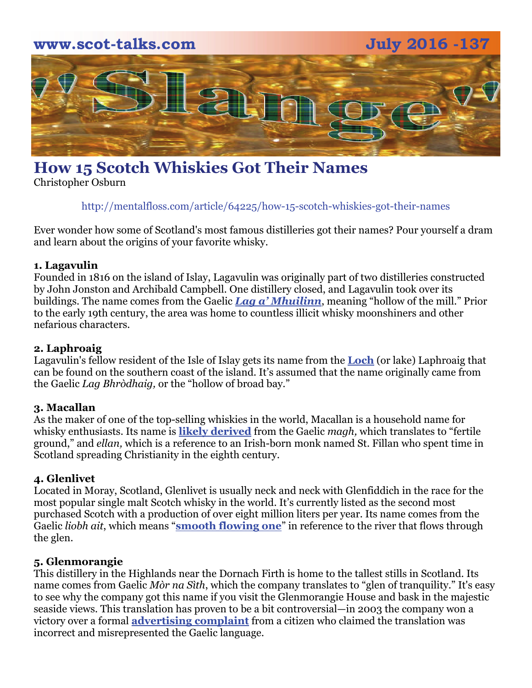

# **How 15 Scotch Whiskies Got Their Names**

Christopher Osburn

http://mentalfloss.com/article/64225/how-15-scotch-whiskies-got-their-names

Ever wonder how some of Scotland's most famous distilleries got their names? Pour yourself a dram and learn about the origins of your favorite whisky.

#### **1. Lagavulin**

Founded in 1816 on the island of Islay, Lagavulin was originally part of two distilleries constructed by John Jonston and Archibald Campbell. One distillery closed, and Lagavulin took over its buildings. The name comes from the Gaelic *[Lag a' Mhuilinn](http://www.gaelicplacenames.org/databasedetails.php?id=135)*, meaning "hollow of the mill." Prior to the early 19th century, the area was home to countless illicit whisky moonshiners and other nefarious characters.

#### **2. Laphroaig**

Lagavulin's fellow resident of the Isle of Islay gets its name from the **[Loch](http://www.laphroaig.com/our-islay/)** (or lake) Laphroaig that can be found on the southern coast of the island. It's assumed that the name originally came from the Gaelic *Lag Bhròdhaig,* or the "hollow of broad bay."

#### **3. Macallan**

As the maker of one of the top-selling whiskies in the world, Macallan is a household name for whisky enthusiasts. Its name is **[likely derived](https://twitter.com/usmacallan/status/551536123202535424)** from the Gaelic *magh,* which translates to "fertile ground," and *ellan,* which is a reference to an Irish-born monk named St. Fillan who spent time in Scotland spreading Christianity in the eighth century.

#### **4. Glenlivet**

Located in Moray, Scotland, Glenlivet is usually neck and neck with Glenfiddich in the race for the most popular single malt Scotch whisky in the world. It's currently listed as the second most purchased Scotch with a production of over eight million liters per year. Its name comes from the Gaelic *liobh ait*, which means "**[smooth flowing one](http://us.theglenlivet.com/the-story/the-spirit-of-the-glen)**" in reference to the river that flows through the glen.

#### **5. Glenmorangie**

This distillery in the Highlands near the Dornach Firth is home to the tallest stills in Scotland. Its name comes from Gaelic *Mòr na Sìth*, which the company translates to "glen of tranquility." It's easy to see why the company got this name if you visit the Glenmorangie House and bask in the majestic seaside views. This translation has proven to be a bit controversial—in 2003 the company won a victory over a formal **[advertising complaint](http://www.scotsman.com/business/tranquillity-returns-to-glenmorangie-as-gaelic-name-challenge-fails-1-1384046)** from a citizen who claimed the translation was incorrect and misrepresented the Gaelic language.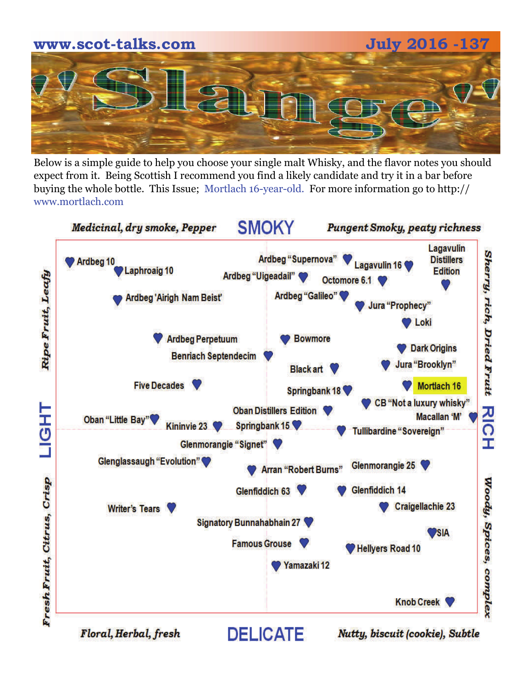

Below is a simple guide to help you choose your single malt Whisky, and the flavor notes you should expect from it. Being Scottish I recommend you find a likely candidate and try it in a bar before buying the whole bottle. This Issue; Mortlach 16-year-old. For more information go to http:// www.mortlach.com



Floral, Herbal, fresh

Nutty, biscuit (cookie), Subtle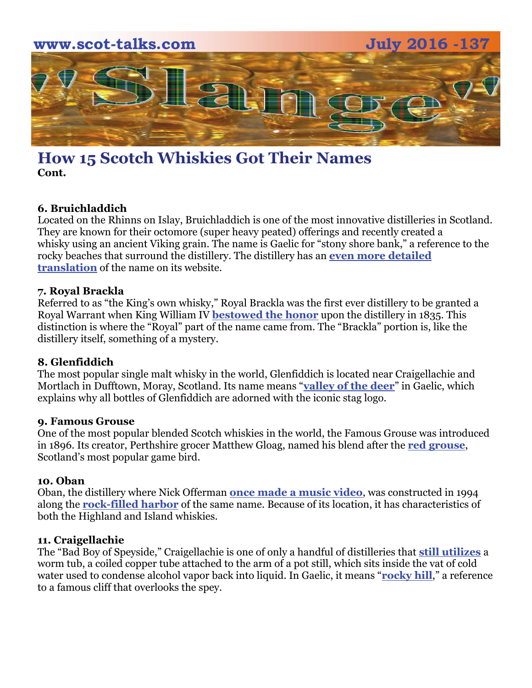

## **How 15 Scotch Whiskies Got Their Names Cont.**

#### **6. Bruichladdich**

Located on the Rhinns on Islay, Bruichladdich is one of the most innovative distilleries in Scotland. They are known for their octomore (super heavy peated) offerings and recently created a whisky using an ancient Viking grain. The name is Gaelic for "stony shore bank," a reference to the rocky beaches that surround the distillery. The distillery has an **[even more detailed](http://www.bruichladdich.com/article/what-does-bruichladdich-mean)  [translation](http://www.bruichladdich.com/article/what-does-bruichladdich-mean)** of the name on its website.

#### **7. Royal Brackla**

Referred to as "the King's own whisky," Royal Brackla was the first ever distillery to be granted a Royal Warrant when King William IV **[bestowed the honor](https://books.google.com/books?id=oEWOHuuZKycC&pg=PA154&dq=royal+brackla+1835&hl=en&sa=X&ei=YNhcVcf4EsyxsATE4oHYBQ&ved=0CCMQ6AEwAQ#v=onepage&q=royal%20brackla%201835&f=false)** upon the distillery in 1835. This distinction is where the "Royal" part of the name came from. The "Brackla" portion is, like the distillery itself, something of a mystery.

#### **8. Glenfiddich**

The most popular single malt whisky in the world, Glenfiddich is located near Craigellachie and Mortlach in Dufftown, Moray, Scotland. Its name means "**[valley of the deer](http://www.glenfiddich.com/us/family-story/)**" in Gaelic, which explains why all bottles of Glenfiddich are adorned with the iconic stag logo.

#### **9. Famous Grouse**

One of the most popular blended Scotch whiskies in the world, the Famous Grouse was introduced in 1896. Its creator, Perthshire grocer Matthew Gloag, named his blend after the **[red grouse](http://experience.thefamousgrouse.com/famous-stories/the-famous-grouse-story/)**, Scotland's most popular game bird.

#### **10. Oban**

Oban, the distillery where Nick Offerman **[once made a music video](http://www.adweek.com/adfreak/nick-offerman-sings-ballad-responsible-whisky-drinker-diageo-161785)**, was constructed in 1994 along the **[rock-filled harbor](https://books.google.com/books?id=DlhGzLMzWGoC&pg=PT38&dq=oban+whisky+harbor&hl=en&sa=X&ei=_dlcVaCsKKO1sQTNlYPwCQ&ved=0CEAQ6AEwAw#v=onepage&q=oban%20whisky%20harbor&f=false)** of the same name. Because of its location, it has characteristics of both the Highland and Island whiskies.

#### **11. Craigellachie**

The "Bad Boy of Speyside," Craigellachie is one of only a handful of distilleries that **[still utilizes](http://www.thedrinksreport.com/news/2014/15706-bacardi-gtr-releases-craigellachie-exclusive.html)** a worm tub, a coiled copper tube attached to the arm of a pot still, which sits inside the vat of cold water used to condense alcohol vapor back into liquid. In Gaelic, it means "**[rocky hill](https://books.google.com/books?id=eDuoo-PPAt0C&pg=PA128&dq=craigellachie+rocky+hill&hl=en&sa=X&ei=jNpcVZ3cCLPIsQTO44CgCw&ved=0CCQQ6AEwAQ#v=onepage&q=craigellachie%20rocky%20hill&f=false)**," a reference to a famous cliff that overlooks the spey.